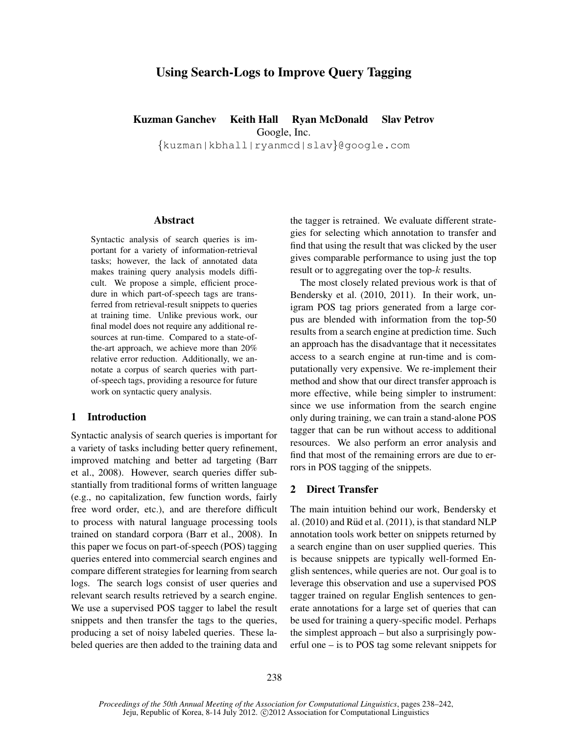# Using Search-Logs to Improve Query Tagging

# Kuzman Ganchev Keith Hall Ryan McDonald Slav Petrov

Google, Inc.

{kuzman|kbhall|ryanmcd|slav}@google.com

#### Abstract

Syntactic analysis of search queries is important for a variety of information-retrieval tasks; however, the lack of annotated data makes training query analysis models difficult. We propose a simple, efficient procedure in which part-of-speech tags are transferred from retrieval-result snippets to queries at training time. Unlike previous work, our final model does not require any additional resources at run-time. Compared to a state-ofthe-art approach, we achieve more than 20% relative error reduction. Additionally, we annotate a corpus of search queries with partof-speech tags, providing a resource for future work on syntactic query analysis.

#### 1 Introduction

Syntactic analysis of search queries is important for a variety of tasks including better query refinement, improved matching and better ad targeting (Barr et al., 2008). However, search queries differ substantially from traditional forms of written language (e.g., no capitalization, few function words, fairly free word order, etc.), and are therefore difficult to process with natural language processing tools trained on standard corpora (Barr et al., 2008). In this paper we focus on part-of-speech (POS) tagging queries entered into commercial search engines and compare different strategies for learning from search logs. The search logs consist of user queries and relevant search results retrieved by a search engine. We use a supervised POS tagger to label the result snippets and then transfer the tags to the queries, producing a set of noisy labeled queries. These labeled queries are then added to the training data and the tagger is retrained. We evaluate different strategies for selecting which annotation to transfer and find that using the result that was clicked by the user gives comparable performance to using just the top result or to aggregating over the top-k results.

The most closely related previous work is that of Bendersky et al. (2010, 2011). In their work, unigram POS tag priors generated from a large corpus are blended with information from the top-50 results from a search engine at prediction time. Such an approach has the disadvantage that it necessitates access to a search engine at run-time and is computationally very expensive. We re-implement their method and show that our direct transfer approach is more effective, while being simpler to instrument: since we use information from the search engine only during training, we can train a stand-alone POS tagger that can be run without access to additional resources. We also perform an error analysis and find that most of the remaining errors are due to errors in POS tagging of the snippets.

## 2 Direct Transfer

The main intuition behind our work, Bendersky et al.  $(2010)$  and Rüd et al.  $(2011)$ , is that standard NLP annotation tools work better on snippets returned by a search engine than on user supplied queries. This is because snippets are typically well-formed English sentences, while queries are not. Our goal is to leverage this observation and use a supervised POS tagger trained on regular English sentences to generate annotations for a large set of queries that can be used for training a query-specific model. Perhaps the simplest approach – but also a surprisingly powerful one – is to POS tag some relevant snippets for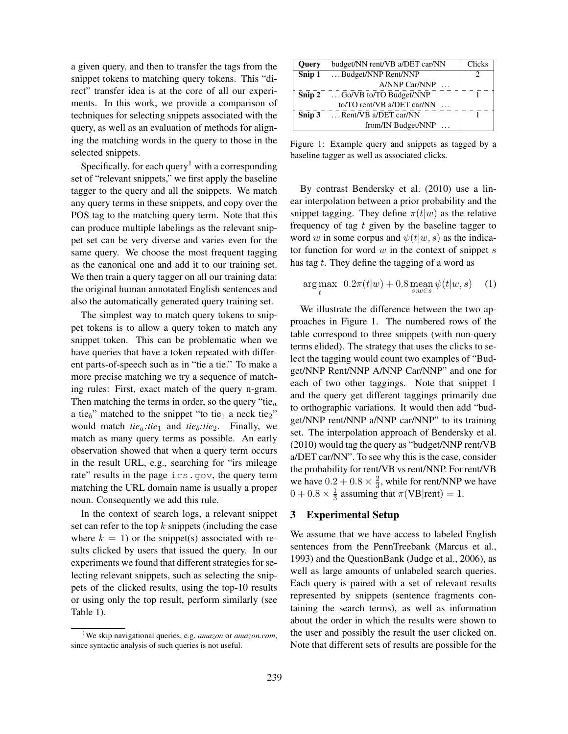a given query, and then to transfer the tags from the snippet tokens to matching query tokens. This "direct" transfer idea is at the core of all our experiments. In this work, we provide a comparison of techniques for selecting snippets associated with the query, as well as an evaluation of methods for aligning the matching words in the query to those in the selected snippets.

Specifically, for each query<sup>1</sup> with a corresponding set of "relevant snippets," we first apply the baseline tagger to the query and all the snippets. We match any query terms in these snippets, and copy over the POS tag to the matching query term. Note that this can produce multiple labelings as the relevant snippet set can be very diverse and varies even for the same query. We choose the most frequent tagging as the canonical one and add it to our training set. We then train a query tagger on all our training data: the original human annotated English sentences and also the automatically generated query training set.

The simplest way to match query tokens to snippet tokens is to allow a query token to match any snippet token. This can be problematic when we have queries that have a token repeated with different parts-of-speech such as in "tie a tie." To make a more precise matching we try a sequence of matching rules: First, exact match of the query n-gram. Then matching the terms in order, so the query "tie $_a$ a tie<sub>b</sub>" matched to the snippet "to tie<sub>1</sub> a neck tie<sub>2</sub>" would match  $tie_a:tie_1$  and  $tie_b:tie_2$ . Finally, we match as many query terms as possible. An early observation showed that when a query term occurs in the result URL, e.g., searching for "irs mileage rate" results in the page irs.gov, the query term matching the URL domain name is usually a proper noun. Consequently we add this rule.

In the context of search logs, a relevant snippet set can refer to the top  $k$  snippets (including the case where  $k = 1$ ) or the snippet(s) associated with results clicked by users that issued the query. In our experiments we found that different strategies for selecting relevant snippets, such as selecting the snippets of the clicked results, using the top-10 results or using only the top result, perform similarly (see Table 1).

| <b>Query</b> | budget/NN rent/VB a/DET car/NN      | Clicks |
|--------------|-------------------------------------|--------|
| Snip 1       | Budget/NNP Rent/NNP                 | 2      |
|              | A/NNP Car/NNP                       |        |
| Snip 2       | $\ldots$ Go/VB to/TO Budget/NNP     |        |
|              | to/TO rent/VB a/DET car/NN $\ldots$ |        |
| Snip $3$     | $\ldots$ Rent/VB a/DET car/NN       |        |
|              | from/IN Budget/NNP                  |        |
|              |                                     |        |

Figure 1: Example query and snippets as tagged by a baseline tagger as well as associated clicks.

By contrast Bendersky et al. (2010) use a linear interpolation between a prior probability and the snippet tagging. They define  $\pi(t|w)$  as the relative frequency of tag  $t$  given by the baseline tagger to word w in some corpus and  $\psi(t|w, s)$  as the indicator function for word  $w$  in the context of snippet  $s$ has tag  $t$ . They define the tagging of a word as

$$
\underset{t}{\arg\max} \ \ 0.2\pi(t|w) + 0.8 \underset{s:w \in s}{\operatorname{mean}} \psi(t|w, s) \tag{1}
$$

We illustrate the difference between the two approaches in Figure 1. The numbered rows of the table correspond to three snippets (with non-query terms elided). The strategy that uses the clicks to select the tagging would count two examples of "Budget/NNP Rent/NNP A/NNP Car/NNP" and one for each of two other taggings. Note that snippet 1 and the query get different taggings primarily due to orthographic variations. It would then add "budget/NNP rent/NNP a/NNP car/NNP" to its training set. The interpolation approach of Bendersky et al. (2010) would tag the query as "budget/NNP rent/VB a/DET car/NN". To see why this is the case, consider the probability for rent/VB vs rent/NNP. For rent/VB we have  $0.2 + 0.8 \times \frac{2}{3}$ , while for rent/NNP we have  $0 + 0.8 \times \frac{1}{3}$  assuming that  $\pi(\text{VB}|\text{rent}) = 1$ .

### 3 Experimental Setup

We assume that we have access to labeled English sentences from the PennTreebank (Marcus et al., 1993) and the QuestionBank (Judge et al., 2006), as well as large amounts of unlabeled search queries. Each query is paired with a set of relevant results represented by snippets (sentence fragments containing the search terms), as well as information about the order in which the results were shown to the user and possibly the result the user clicked on. Note that different sets of results are possible for the

<sup>1</sup>We skip navigational queries, e.g, *amazon* or *amazon.com*, since syntactic analysis of such queries is not useful.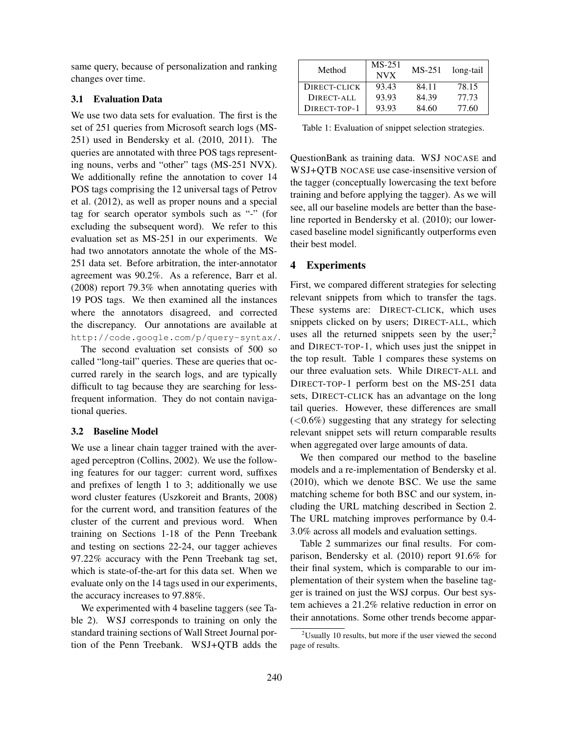same query, because of personalization and ranking changes over time.

### 3.1 Evaluation Data

We use two data sets for evaluation. The first is the set of 251 queries from Microsoft search logs (MS-251) used in Bendersky et al. (2010, 2011). The queries are annotated with three POS tags representing nouns, verbs and "other" tags (MS-251 NVX). We additionally refine the annotation to cover 14 POS tags comprising the 12 universal tags of Petrov et al. (2012), as well as proper nouns and a special tag for search operator symbols such as "-" (for excluding the subsequent word). We refer to this evaluation set as MS-251 in our experiments. We had two annotators annotate the whole of the MS-251 data set. Before arbitration, the inter-annotator agreement was 90.2%. As a reference, Barr et al. (2008) report 79.3% when annotating queries with 19 POS tags. We then examined all the instances where the annotators disagreed, and corrected the discrepancy. Our annotations are available at http://code.google.com/p/query-syntax/.

The second evaluation set consists of 500 so called "long-tail" queries. These are queries that occurred rarely in the search logs, and are typically difficult to tag because they are searching for lessfrequent information. They do not contain navigational queries.

#### 3.2 Baseline Model

We use a linear chain tagger trained with the averaged perceptron (Collins, 2002). We use the following features for our tagger: current word, suffixes and prefixes of length 1 to 3; additionally we use word cluster features (Uszkoreit and Brants, 2008) for the current word, and transition features of the cluster of the current and previous word. When training on Sections 1-18 of the Penn Treebank and testing on sections 22-24, our tagger achieves 97.22% accuracy with the Penn Treebank tag set, which is state-of-the-art for this data set. When we evaluate only on the 14 tags used in our experiments, the accuracy increases to 97.88%.

We experimented with 4 baseline taggers (see Table 2). WSJ corresponds to training on only the standard training sections of Wall Street Journal portion of the Penn Treebank. WSJ+QTB adds the

| Method       | $MS-251$<br><b>NVX</b> | $MS-251$ | long-tail |
|--------------|------------------------|----------|-----------|
| DIRECT-CLICK | 93.43                  | 84.11    | 78.15     |
| DIRECT-ALL   | 93.93                  | 84.39    | 77.73     |
| DIRECT-TOP-1 | 93.93                  | 84.60    | 77.60     |

Table 1: Evaluation of snippet selection strategies.

QuestionBank as training data. WSJ NOCASE and WSJ+QTB NOCASE use case-insensitive version of the tagger (conceptually lowercasing the text before training and before applying the tagger). As we will see, all our baseline models are better than the baseline reported in Bendersky et al. (2010); our lowercased baseline model significantly outperforms even their best model.

### 4 Experiments

First, we compared different strategies for selecting relevant snippets from which to transfer the tags. These systems are: DIRECT-CLICK, which uses snippets clicked on by users; DIRECT-ALL, which uses all the returned snippets seen by the user;<sup>2</sup> and DIRECT-TOP-1, which uses just the snippet in the top result. Table 1 compares these systems on our three evaluation sets. While DIRECT-ALL and DIRECT-TOP-1 perform best on the MS-251 data sets, DIRECT-CLICK has an advantage on the long tail queries. However, these differences are small  $(<0.6\%)$  suggesting that any strategy for selecting relevant snippet sets will return comparable results when aggregated over large amounts of data.

We then compared our method to the baseline models and a re-implementation of Bendersky et al. (2010), which we denote BSC. We use the same matching scheme for both BSC and our system, including the URL matching described in Section 2. The URL matching improves performance by 0.4- 3.0% across all models and evaluation settings.

Table 2 summarizes our final results. For comparison, Bendersky et al. (2010) report 91.6% for their final system, which is comparable to our implementation of their system when the baseline tagger is trained on just the WSJ corpus. Our best system achieves a 21.2% relative reduction in error on their annotations. Some other trends become appar-

<sup>2</sup>Usually 10 results, but more if the user viewed the second page of results.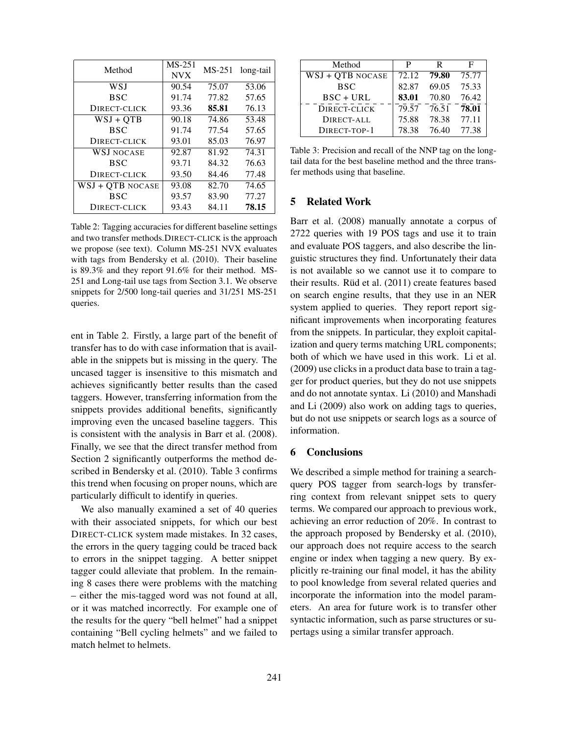| Method            | $MS-251$<br><b>NVX</b> | $MS-251$ | long-tail |
|-------------------|------------------------|----------|-----------|
|                   |                        |          |           |
| WSJ               | 90.54                  | 75.07    | 53.06     |
| <b>BSC</b>        | 91.74                  | 77.82    | 57.65     |
| DIRECT-CLICK      | 93.36                  | 85.81    | 76.13     |
| $WSJ + QTB$       | 90.18                  | 74.86    | 53.48     |
| <b>BSC</b>        | 91.74                  | 77.54    | 57.65     |
| DIRECT-CLICK      | 93.01                  | 85.03    | 76.97     |
| <b>WSJ NOCASE</b> | 92.87                  | 81.92    | 74.31     |
| BSC               | 93.71                  | 84.32    | 76.63     |
| DIRECT-CLICK      | 93.50                  | 84.46    | 77.48     |
| WSJ + OTB NOCASE  | 93.08                  | 82.70    | 74.65     |
| <b>BSC</b>        | 93.57                  | 83.90    | 77.27     |
| DIRECT-CLICK      | 93.43                  | 84.11    | 78.15     |

Table 2: Tagging accuracies for different baseline settings and two transfer methods.DIRECT-CLICK is the approach we propose (see text). Column MS-251 NVX evaluates with tags from Bendersky et al. (2010). Their baseline is 89.3% and they report 91.6% for their method. MS-251 and Long-tail use tags from Section 3.1. We observe snippets for 2/500 long-tail queries and 31/251 MS-251 queries.

ent in Table 2. Firstly, a large part of the benefit of transfer has to do with case information that is available in the snippets but is missing in the query. The uncased tagger is insensitive to this mismatch and achieves significantly better results than the cased taggers. However, transferring information from the snippets provides additional benefits, significantly improving even the uncased baseline taggers. This is consistent with the analysis in Barr et al. (2008). Finally, we see that the direct transfer method from Section 2 significantly outperforms the method described in Bendersky et al. (2010). Table 3 confirms this trend when focusing on proper nouns, which are particularly difficult to identify in queries.

We also manually examined a set of 40 queries with their associated snippets, for which our best DIRECT-CLICK system made mistakes. In 32 cases, the errors in the query tagging could be traced back to errors in the snippet tagging. A better snippet tagger could alleviate that problem. In the remaining 8 cases there were problems with the matching – either the mis-tagged word was not found at all, or it was matched incorrectly. For example one of the results for the query "bell helmet" had a snippet containing "Bell cycling helmets" and we failed to match helmet to helmets.

| Method           | P     | R                 | E     |
|------------------|-------|-------------------|-------|
| WSJ + QTB NOCASE | 72.12 | 79.80             | 75.77 |
| <b>BSC</b>       | 82.87 | 69.05             | 75.33 |
| $BSC + URL$      | 83.01 | 70.80             | 76.42 |
| DIRECT-CLICK     |       | 79.57 76.51 78.01 |       |
| DIRECT-ALL       | 75.88 | 78.38             | 77.11 |
| DIRECT-TOP-1     | 78.38 | 76.40             | 77.38 |

Table 3: Precision and recall of the NNP tag on the longtail data for the best baseline method and the three transfer methods using that baseline.

#### 5 Related Work

Barr et al. (2008) manually annotate a corpus of 2722 queries with 19 POS tags and use it to train and evaluate POS taggers, and also describe the linguistic structures they find. Unfortunately their data is not available so we cannot use it to compare to their results. Rüd et al.  $(2011)$  create features based on search engine results, that they use in an NER system applied to queries. They report report significant improvements when incorporating features from the snippets. In particular, they exploit capitalization and query terms matching URL components; both of which we have used in this work. Li et al. (2009) use clicks in a product data base to train a tagger for product queries, but they do not use snippets and do not annotate syntax. Li (2010) and Manshadi and Li (2009) also work on adding tags to queries, but do not use snippets or search logs as a source of information.

#### 6 Conclusions

We described a simple method for training a searchquery POS tagger from search-logs by transferring context from relevant snippet sets to query terms. We compared our approach to previous work, achieving an error reduction of 20%. In contrast to the approach proposed by Bendersky et al. (2010), our approach does not require access to the search engine or index when tagging a new query. By explicitly re-training our final model, it has the ability to pool knowledge from several related queries and incorporate the information into the model parameters. An area for future work is to transfer other syntactic information, such as parse structures or supertags using a similar transfer approach.